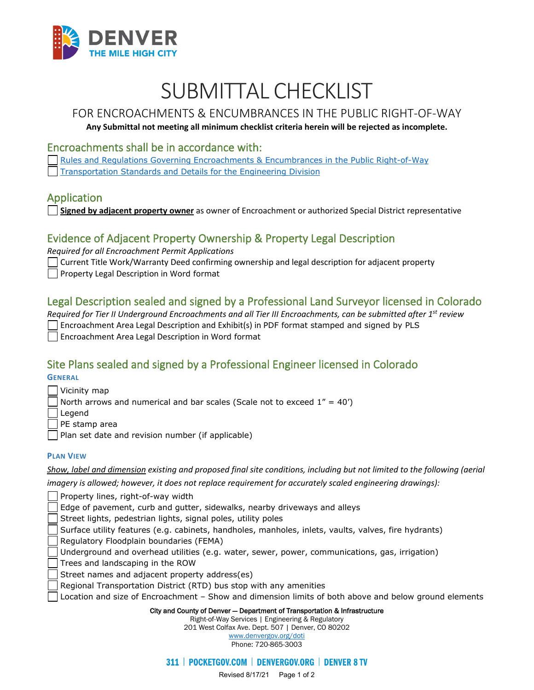

# SUBMITTAL CHECKLIST

# FOR ENCROACHMENTS & ENCUMBRANCES IN THE PUBLIC RIGHT-OF-WAY

#### **Any Submittal not meeting all minimum checklist criteria herein will be rejected as incomplete.**

#### Encroachments shall be in accordance with:

[Rules and Regulations Governing Encroachments & Encumbrances in the Public Right-of-Way](https://www.denvergov.org/Government/Departments/Department-of-Transportation-and-Infrastructure/Documents/Rules-Regulations) [Transportation Standards and Details for the Engineering Division](https://www.denvergov.org/Government/Departments/Department-of-Transportation-and-Infrastructure/Documents/Standards-Details)

#### Application

**Signed by adjacent property owner** as owner of Encroachment or authorized Special District representative

## Evidence of Adjacent Property Ownership & Property Legal Description

*Required for all Encroachment Permit Applications* 

Current Title Work/Warranty Deed confirming ownership and legal description for adjacent property

#### Property Legal Description in Word format

#### Legal Description sealed and signed by a Professional Land Surveyor licensed in Colorado

*Required for Tier II Underground Encroachments and all Tier III Encroachments, can be submitted after 1st review*  Encroachment Area Legal Description and Exhibit(s) in PDF format stamped and signed by PLS Encroachment Area Legal Description in Word format

## Site Plans sealed and signed by a Professional Engineer licensed in Colorado

**GENERAL**

| Vicinity map |
|--------------|
|--------------|

North arrows and numerical and bar scales (Scale not to exceed  $1'' = 40'$ )

Legend

PE stamp area

Plan set date and revision number (if applicable)

#### **PLAN VIEW**

*Show, label and dimension existing and proposed final site conditions, including but not limited to the following (aerial* 

*imagery is allowed; however, it does not replace requirement for accurately scaled engineering drawings):* 

Property lines, right-of-way width

Edge of pavement, curb and gutter, sidewalks, nearby driveways and alleys

Street lights, pedestrian lights, signal poles, utility poles

Surface utility features (e.g. cabinets, handholes, manholes, inlets, vaults, valves, fire hydrants)

Regulatory Floodplain boundaries (FEMA)

Underground and overhead utilities (e.g. water, sewer, power, communications, gas, irrigation)

Trees and landscaping in the ROW

Street names and adjacent property address(es)

- Regional Transportation District (RTD) bus stop with any amenities
- Location and size of Encroachment Show and dimension limits of both above and below ground elements

City and County of Denver — Department of Transportation & Infrastructure

Right-of-Way Services | Engineering & Regulatory 201 West Colfax Ave. Dept. 507 | Denver, CO 80202 [www.denvergov.org/doti](https://www.denvergov.org/content/denvergov/en/transportation-mobility.html)

Phone: 720-865-3003

311 | POCKETGOV.COM | DENVERGOV.ORG | DENVER 8 TV

Revised 8/17/21 Page 1 of 2